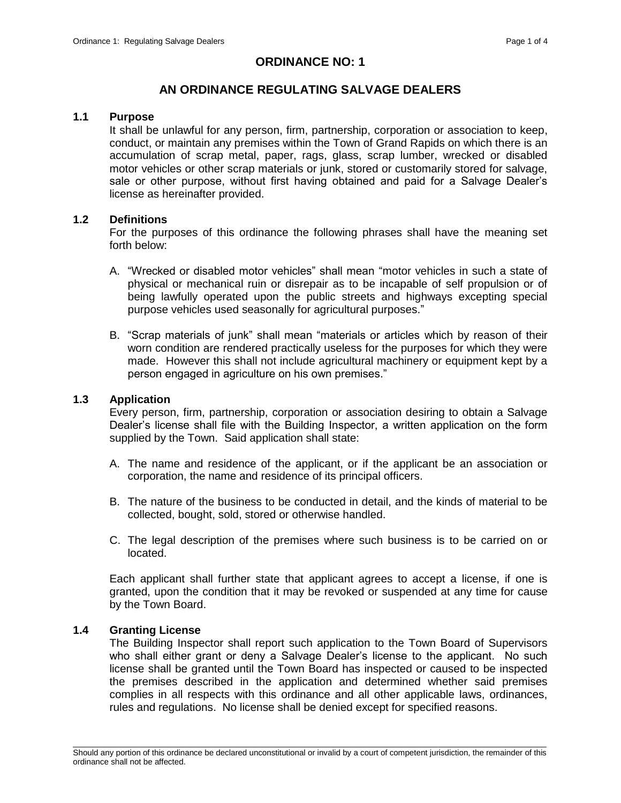# **ORDINANCE NO: 1**

# **AN ORDINANCE REGULATING SALVAGE DEALERS**

# **1.1 Purpose**

It shall be unlawful for any person, firm, partnership, corporation or association to keep, conduct, or maintain any premises within the Town of Grand Rapids on which there is an accumulation of scrap metal, paper, rags, glass, scrap lumber, wrecked or disabled motor vehicles or other scrap materials or junk, stored or customarily stored for salvage, sale or other purpose, without first having obtained and paid for a Salvage Dealer's license as hereinafter provided.

# **1.2 Definitions**

For the purposes of this ordinance the following phrases shall have the meaning set forth below:

- A. "Wrecked or disabled motor vehicles" shall mean "motor vehicles in such a state of physical or mechanical ruin or disrepair as to be incapable of self propulsion or of being lawfully operated upon the public streets and highways excepting special purpose vehicles used seasonally for agricultural purposes."
- B. "Scrap materials of junk" shall mean "materials or articles which by reason of their worn condition are rendered practically useless for the purposes for which they were made. However this shall not include agricultural machinery or equipment kept by a person engaged in agriculture on his own premises."

#### **1.3 Application**

Every person, firm, partnership, corporation or association desiring to obtain a Salvage Dealer's license shall file with the Building Inspector, a written application on the form supplied by the Town. Said application shall state:

- A. The name and residence of the applicant, or if the applicant be an association or corporation, the name and residence of its principal officers.
- B. The nature of the business to be conducted in detail, and the kinds of material to be collected, bought, sold, stored or otherwise handled.
- C. The legal description of the premises where such business is to be carried on or located.

Each applicant shall further state that applicant agrees to accept a license, if one is granted, upon the condition that it may be revoked or suspended at any time for cause by the Town Board.

# **1.4 Granting License**

The Building Inspector shall report such application to the Town Board of Supervisors who shall either grant or deny a Salvage Dealer's license to the applicant. No such license shall be granted until the Town Board has inspected or caused to be inspected the premises described in the application and determined whether said premises complies in all respects with this ordinance and all other applicable laws, ordinances, rules and regulations. No license shall be denied except for specified reasons.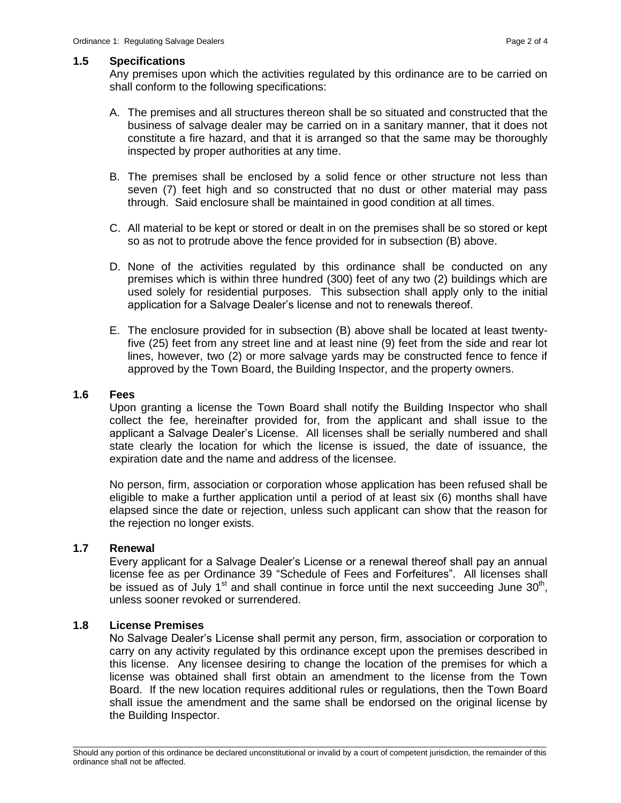#### **1.5 Specifications**

Any premises upon which the activities regulated by this ordinance are to be carried on shall conform to the following specifications:

- A. The premises and all structures thereon shall be so situated and constructed that the business of salvage dealer may be carried on in a sanitary manner, that it does not constitute a fire hazard, and that it is arranged so that the same may be thoroughly inspected by proper authorities at any time.
- B. The premises shall be enclosed by a solid fence or other structure not less than seven (7) feet high and so constructed that no dust or other material may pass through. Said enclosure shall be maintained in good condition at all times.
- C. All material to be kept or stored or dealt in on the premises shall be so stored or kept so as not to protrude above the fence provided for in subsection (B) above.
- D. None of the activities regulated by this ordinance shall be conducted on any premises which is within three hundred (300) feet of any two (2) buildings which are used solely for residential purposes. This subsection shall apply only to the initial application for a Salvage Dealer's license and not to renewals thereof.
- E. The enclosure provided for in subsection (B) above shall be located at least twentyfive (25) feet from any street line and at least nine (9) feet from the side and rear lot lines, however, two (2) or more salvage yards may be constructed fence to fence if approved by the Town Board, the Building Inspector, and the property owners.

#### **1.6 Fees**

Upon granting a license the Town Board shall notify the Building Inspector who shall collect the fee, hereinafter provided for, from the applicant and shall issue to the applicant a Salvage Dealer's License. All licenses shall be serially numbered and shall state clearly the location for which the license is issued, the date of issuance, the expiration date and the name and address of the licensee.

No person, firm, association or corporation whose application has been refused shall be eligible to make a further application until a period of at least six (6) months shall have elapsed since the date or rejection, unless such applicant can show that the reason for the rejection no longer exists.

# **1.7 Renewal**

Every applicant for a Salvage Dealer's License or a renewal thereof shall pay an annual license fee as per Ordinance 39 "Schedule of Fees and Forfeitures". All licenses shall be issued as of July 1<sup>st</sup> and shall continue in force until the next succeeding June  $30<sup>th</sup>$ , unless sooner revoked or surrendered.

# **1.8 License Premises**

No Salvage Dealer's License shall permit any person, firm, association or corporation to carry on any activity regulated by this ordinance except upon the premises described in this license. Any licensee desiring to change the location of the premises for which a license was obtained shall first obtain an amendment to the license from the Town Board. If the new location requires additional rules or regulations, then the Town Board shall issue the amendment and the same shall be endorsed on the original license by the Building Inspector.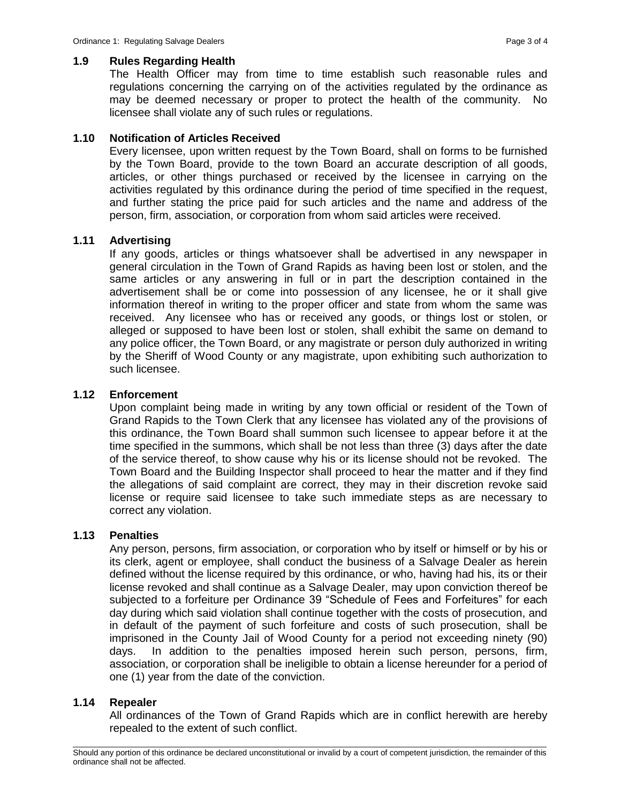#### **1.9 Rules Regarding Health**

The Health Officer may from time to time establish such reasonable rules and regulations concerning the carrying on of the activities regulated by the ordinance as may be deemed necessary or proper to protect the health of the community. No licensee shall violate any of such rules or regulations.

# **1.10 Notification of Articles Received**

Every licensee, upon written request by the Town Board, shall on forms to be furnished by the Town Board, provide to the town Board an accurate description of all goods, articles, or other things purchased or received by the licensee in carrying on the activities regulated by this ordinance during the period of time specified in the request, and further stating the price paid for such articles and the name and address of the person, firm, association, or corporation from whom said articles were received.

#### **1.11 Advertising**

If any goods, articles or things whatsoever shall be advertised in any newspaper in general circulation in the Town of Grand Rapids as having been lost or stolen, and the same articles or any answering in full or in part the description contained in the advertisement shall be or come into possession of any licensee, he or it shall give information thereof in writing to the proper officer and state from whom the same was received. Any licensee who has or received any goods, or things lost or stolen, or alleged or supposed to have been lost or stolen, shall exhibit the same on demand to any police officer, the Town Board, or any magistrate or person duly authorized in writing by the Sheriff of Wood County or any magistrate, upon exhibiting such authorization to such licensee.

#### **1.12 Enforcement**

Upon complaint being made in writing by any town official or resident of the Town of Grand Rapids to the Town Clerk that any licensee has violated any of the provisions of this ordinance, the Town Board shall summon such licensee to appear before it at the time specified in the summons, which shall be not less than three (3) days after the date of the service thereof, to show cause why his or its license should not be revoked. The Town Board and the Building Inspector shall proceed to hear the matter and if they find the allegations of said complaint are correct, they may in their discretion revoke said license or require said licensee to take such immediate steps as are necessary to correct any violation.

### **1.13 Penalties**

Any person, persons, firm association, or corporation who by itself or himself or by his or its clerk, agent or employee, shall conduct the business of a Salvage Dealer as herein defined without the license required by this ordinance, or who, having had his, its or their license revoked and shall continue as a Salvage Dealer, may upon conviction thereof be subjected to a forfeiture per Ordinance 39 "Schedule of Fees and Forfeitures" for each day during which said violation shall continue together with the costs of prosecution, and in default of the payment of such forfeiture and costs of such prosecution, shall be imprisoned in the County Jail of Wood County for a period not exceeding ninety (90) days. In addition to the penalties imposed herein such person, persons, firm, association, or corporation shall be ineligible to obtain a license hereunder for a period of one (1) year from the date of the conviction.

### **1.14 Repealer**

All ordinances of the Town of Grand Rapids which are in conflict herewith are hereby repealed to the extent of such conflict.